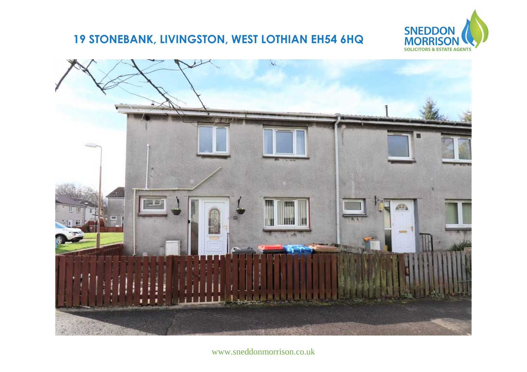## 19 STONEBANK, LIVINGSTON, WEST LOTHIAN EH54 6HQ





www.sneddonmorrison.co.uk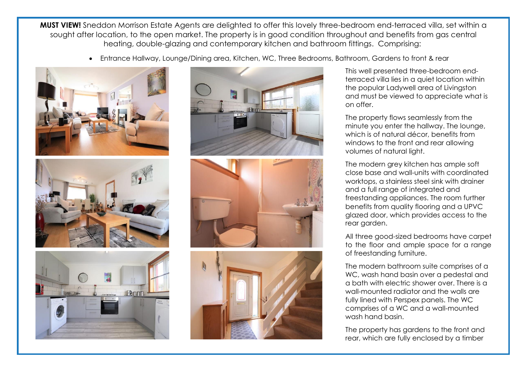**MUST VIEW!** Sneddon Morrison Estate Agents are delighted to offer this lovely three-bedroom end-terraced villa, set within a sought after location, to the open market. The property is in good condition throughout and benefits from gas central heating, double-glazing and contemporary kitchen and bathroom fittings. Comprising:

Entrance Hallway, Lounge/Dining area, Kitchen, WC, Three Bedrooms, Bathroom, Gardens to front & rear









This well presented three-bedroom endterraced villa lies in a quiet location within the popular Ladywell area of Livingston and must be viewed to appreciate what is on offer.

The property flows seamlessly from the minute you enter the hallway. The lounge, which is of natural décor, benefits from windows to the front and rear allowing volumes of natural light.

The modern grey kitchen has ample soft close base and wall-units with coordinated worktops, a stainless steel sink with drainer and a full range of integrated and freestanding appliances. The room further benefits from quality flooring and a UPVC glazed door, which provides access to the rear garden.

All three good-sized bedrooms have carpet to the floor and ample space for a range of freestanding furniture.

The modern bathroom suite comprises of a WC, wash hand basin over a pedestal and a bath with electric shower over. There is a wall-mounted radiator and the walls are fully lined with Perspex panels. The WC comprises of a WC and a wall-mounted wash hand basin.

The property has gardens to the front and rear, which are fully enclosed by a timber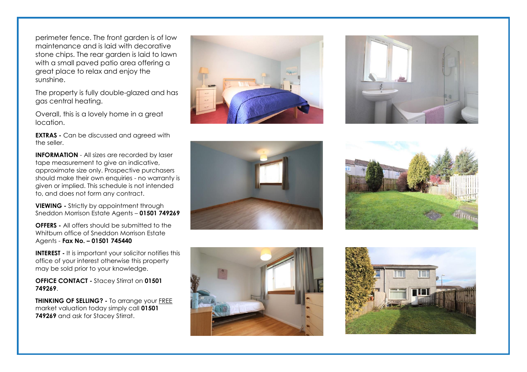perimeter fence. The front garden is of low maintenance and is laid with decorative stone chips. The rear garden is laid to lawn with a small paved patio area offering a great place to relax and enjoy the sunshine.

The property is fully double-glazed and has gas central heating.

Overall, this is a lovely home in a great location.

**EXTRAS** - Can be discussed and agreed with the seller.

**INFORMATION** - All sizes are recorded by laser tape measurement to give an indicative, approximate size only. Prospective purchasers should make their own enquiries - no warranty is given or implied. This schedule is not intended to, and does not form any contract.

**VIEWING -** Strictly by appointment through Sneddon Morrison Estate Agents – **01501 749269**

**OFFERS -** All offers should be submitted to the Whitburn office of Sneddon Morrison Estate Agents - **Fax No. – 01501 745440** 

**INTEREST -** It is important your solicitor notifies this office of your interest otherwise this property may be sold prior to your knowledge.

**OFFICE CONTACT -** Stacey Stirrat on **01501 749269**.

**THINKING OF SELLING? -** To arrange your FREE market valuation today simply call **01501 749269** and ask for Stacey Stirrat.